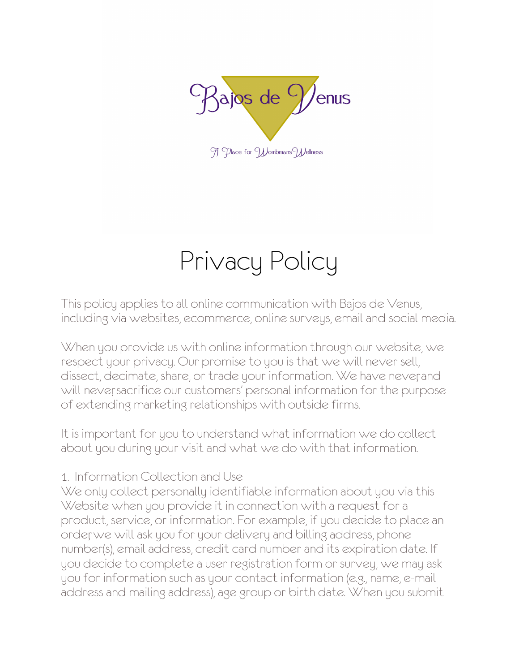

9 TD Dace for Wombmans Wellness

# Privacy Policy

This policy applies to all online communication with Bajos de Venus, including via websites, ecommerce, online surveys, email and social media.

When you provide us with online information through our website, we respect your privacy. Our promise to you is that we will never sell, dissect, decimate, share, or trade your information. We have never, and will neversacrifice our customers' personal information for the purpose of extending marketing relationships with outside firms.

It is important for you to understand what information we do collect about you during your visit and what we do with that information.

### 1. Information Collection and Use

We only collect personally identifiable information about you via this Website when you provide it in connection with a request for a product, service, or information. For example, if you decide to place an order, we will ask you for your delivery and billing address, phone number(s), email address, credit card number and its expiration date. If you decide to complete a user registration form or survey, we may ask you for information such as your contact information (e.g., name, e-mail address and mailing address), age group or birth date. When you submit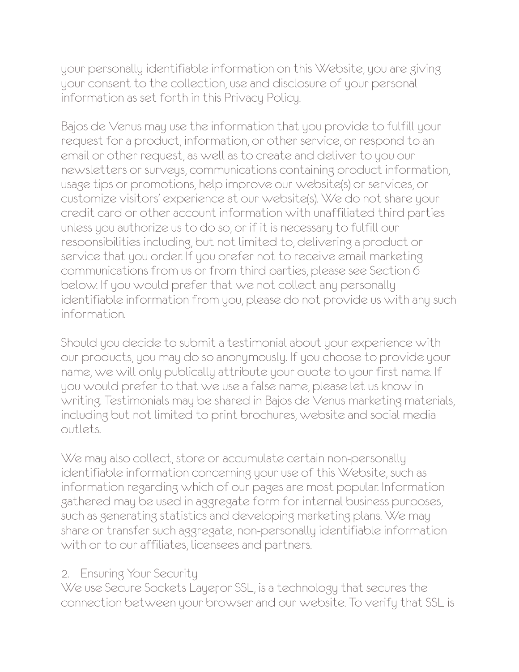your personally identifiable information on this Website, you are giving your consent to the collection, use and disclosure of your personal information as set forth in this Privacy Policy.

Bajos de Venus may use the information that you provide to fulfill your request for a product, information, or other service, or respond to an email or other request, as well as to create and deliver to you our newsletters or surveys, communications containing product information, usage tips or promotions, help improve our website(s) or services, or customize visitors' experience at our website(s). We do not share your credit card or other account information with unaffiliated third parties unless you authorize us to do so, or if it is necessary to fulfill our responsibilities including, but not limited to, delivering a product or service that you order. If you prefer not to receive email marketing communications from us or from third parties, please see Section 6 below. If you would prefer that we not collect any personally identifiable information from you, please do not provide us with any such information.

Should you decide to submit a testimonial about your experience with our products, you may do so anonymously. If you choose to provide your name, we will only publically attribute your quote to your first name. If you would prefer to that we use a false name, please let us know in writing. Testimonials may be shared in Bajos de Venus marketing materials, including but not limited to print brochures, website and social media outlets.

We may also collect, store or accumulate certain non-personally identifiable information concerning your use of this Website, such as information regarding which of our pages are most popular. Information gathered may be used in aggregate form for internal business purposes, such as generating statistics and developing marketing plans. We may share or transfer such aggregate, non-personally identifiable information with or to our affiliates, licensees and partners.

## 2. Ensuring Your Security

We use Secure Sockets Layer or SSL, is a technology that secures the connection between your browser and our website. To verify that SSL is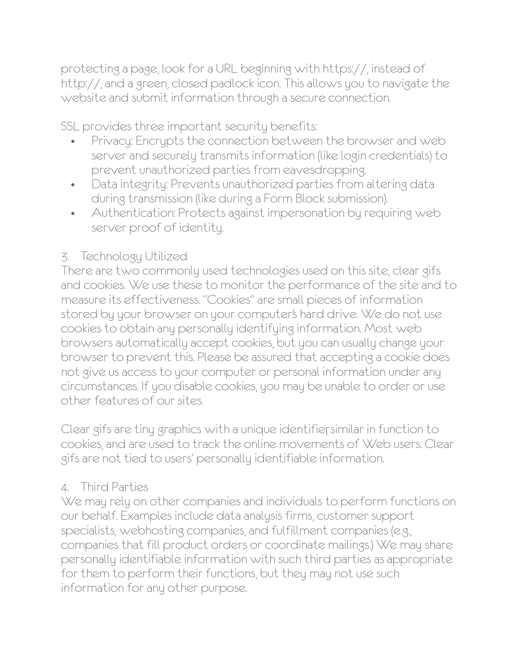protecting a page, look for a URL beginning with https://, instead of http://, and a green, closed padlock icon. This allows you to navigate the website and submit information through a secure connection.

SSL provides three important security benefits:

- Privacy: Encrypts the connection between the browser and web server and securely transmits information (like login credentials) to prevent unauthorized parties from eavesdropping.
- Data integrity: Prevents unauthorized parties from altering data during transmission (like during a Form Block submission).
- Authentication: Protects against impersonation by requiring web server proof of identity.

## 3. Technology Utilized

There are two commonly used technologies used on this site, clear gifs and cookies. We use these to monitor the performance of the site and to measure its effectiveness. "Cookies" are small pieces of information stored by your browser on your computer's hard drive. We do not use cookies to obtain any personally identifying information. Most web browsers automatically accept cookies, but you can usually change your browser to prevent this. Please be assured that accepting a cookie does not give us access to your computer or personal information under any circumstances. If you disable cookies, you may be unable to order or use other features of our sites.

Clear gifs are tiny graphics with a unique identifier, similar in function to cookies, and are used to track the online movements of Web users. Clear gifs are not tied to users' personally identifiable information.

## 4. Third Parties

We may rely on other companies and individuals to perform functions on our behalf. Examples include data analysis firms, customer support specialists, webhosting companies, and fulfillment companies (e.g., companies that fill product orders or coordinate mailings.) We may share personally identifiable information with such third parties as appropriate for them to perform their functions, but they may not use such information for any other purpose.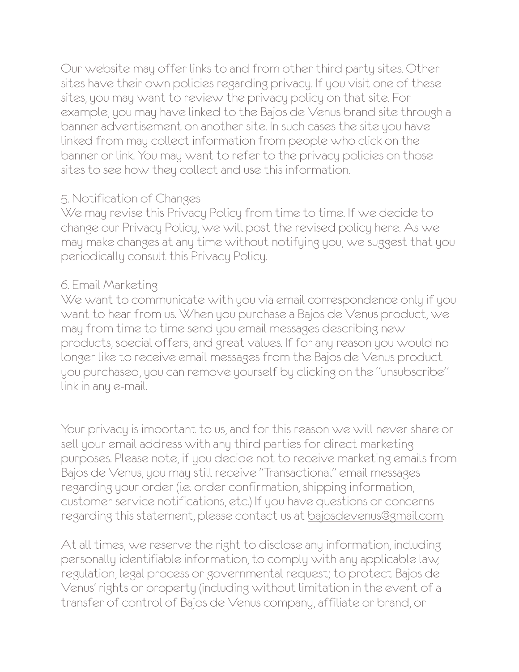Our website may offer links to and from other third party sites. Other sites have their own policies regarding privacy. If you visit one of these sites, you may want to review the privacy policy on that site. For example, you may have linked to the Bajos de Venus brand site through a banner advertisement on another site. In such cases the site you have linked from may collect information from people who click on the banner or link. You may want to refer to the privacy policies on those sites to see how they collect and use this information.

#### 5. Notification of Changes

We may revise this Privacy Policy from time to time. If we decide to change our Privacy Policy, we will post the revised policy here. As we may make changes at any time without notifying you, we suggest that you periodically consult this Privacy Policy.

#### 6. Email Marketing

We want to communicate with you via email correspondence only if you want to hear from us. When you purchase a Bajos de Venus product, we may from time to time send you email messages describing new products, special offers, and great values. If for any reason you would no longer like to receive email messages from the Bajos de Venus product you purchased, you can remove yourself by clicking on the "unsubscribe" link in any e-mail.

Your privacy is important to us, and for this reason we will never share or sell your email address with any third parties for direct marketing purposes. Please note, if you decide not to receive marketing emails from Bajos de Venus, you may still receive "Transactional" email messages regarding your order (i.e. order confirmation, shipping information, customer service notifications, etc.) If you have questions or concerns regarding this statement, please contact us at [bajosdevenus@gmail.com.](mailto:bajosdevenus@gmail.com)

At all times, we reserve the right to disclose any information, including personally identifiable information, to comply with any applicable law, regulation, legal process or governmental request; to protect Bajos de Venus' rights or property (including without limitation in the event of a transfer of control of Bajos de Venus company, affiliate or brand, or